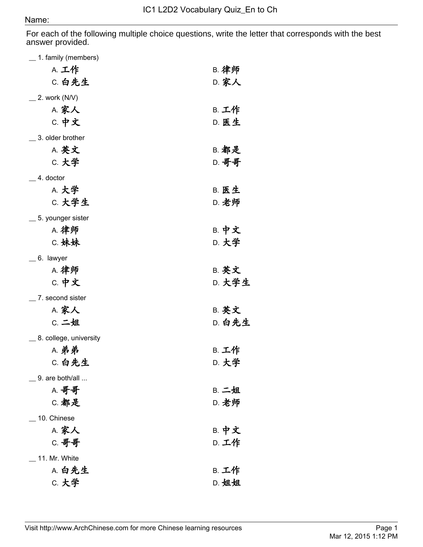## Name:

For each of the following multiple choice questions, write the letter that corresponds with the best answer provided.

| <sub>__</sub> 1. family (members) |              |
|-----------------------------------|--------------|
| A. 工作                             | <b>B. 律师</b> |
| C. 白先生                            | <b>D. 家人</b> |
| $\angle$ 2. work (N/V)            |              |
| A. 家人                             | B. 工作        |
| <b>C. 中文</b>                      | D. 医生        |
| _ 3. older brother                |              |
| <b>A. 英文</b>                      | B. 都是        |
| C. 大学                             | D. 哥哥        |
| $-4.$ doctor                      |              |
| A. 大学                             | <b>B. 医生</b> |
| C. 大学生                            | <b>D. 老师</b> |
| <sub>__</sub> 5. younger sister   |              |
| A. 律师                             | <b>B. 中文</b> |
| C. 妹妹                             | D. 大学        |
| $=$ 6. lawyer                     |              |
| A. 律师                             | <b>B. 英文</b> |
| <b>C. 中文</b>                      | D. 大学生       |
| $\_$ 7. second sister             |              |
| A. 家人                             | <b>B. 英文</b> |
| C. 二姐                             | D. 白先生       |
| _ 8. college, university          |              |
| A. 弟弟                             | B. 工作        |
| C. 白先生                            | D. 大学        |
| $\_$ 9. are both/all $$           |              |
| A. 哥哥                             | B. 二姐        |
| C. 都是                             | <b>D. 老师</b> |
| _ 10. Chinese                     |              |
| <b>A. 家人</b>                      | <b>B. 中文</b> |
| C. 哥哥                             | D. 工作        |
| 11. Mr. White                     |              |
| A. 白先生                            | B. 工作        |
| C. 大学                             | D. 姐姐        |